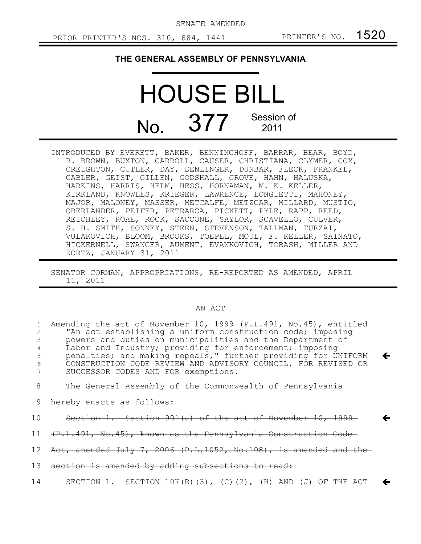SENATE AMENDED

## **THE GENERAL ASSEMBLY OF PENNSYLVANIA**

## HOUSE BILL  $N<sub>O</sub>$  377 Session of 2011

INTRODUCED BY EVERETT, BAKER, BENNINGHOFF, BARRAR, BEAR, BOYD, R. BROWN, BUXTON, CARROLL, CAUSER, CHRISTIANA, CLYMER, COX, CREIGHTON, CUTLER, DAY, DENLINGER, DUNBAR, FLECK, FRANKEL, GABLER, GEIST, GILLEN, GODSHALL, GROVE, HAHN, HALUSKA, HARKINS, HARRIS, HELM, HESS, HORNAMAN, M. K. KELLER, KIRKLAND, KNOWLES, KRIEGER, LAWRENCE, LONGIETTI, MAHONEY, MAJOR, MALONEY, MASSER, METCALFE, METZGAR, MILLARD, MUSTIO, OBERLANDER, PEIFER, PETRARCA, PICKETT, PYLE, RAPP, REED, REICHLEY, ROAE, ROCK, SACCONE, SAYLOR, SCAVELLO, CULVER, S. H. SMITH, SONNEY, STERN, STEVENSON, TALLMAN, TURZAI, VULAKOVICH, BLOOM, BROOKS, TOEPEL, MOUL, F. KELLER, SAINATO, HICKERNELL, SWANGER, AUMENT, EVANKOVICH, TOBASH, MILLER AND KORTZ, JANUARY 31, 2011

## AN ACT

| 1<br>2<br>3<br>4<br>5<br>6 | Amending the act of November 10, 1999 $(P.L.491, No.45)$ , entitled<br>"An act establishing a uniform construction code; imposing<br>powers and duties on municipalities and the Department of<br>Labor and Industry; providing for enforcement; imposing<br>penalties; and making repeals," further providing for UNIFORM<br>CONSTRUCTION CODE REVIEW AND ADVISORY COUNCIL, FOR REVISED OR<br>SUCCESSOR CODES AND FOR exemptions. | $\leftarrow$ |
|----------------------------|------------------------------------------------------------------------------------------------------------------------------------------------------------------------------------------------------------------------------------------------------------------------------------------------------------------------------------------------------------------------------------------------------------------------------------|--------------|
| 8                          | The General Assembly of the Commonwealth of Pennsylvania                                                                                                                                                                                                                                                                                                                                                                           |              |
| 9                          | hereby enacts as follows:                                                                                                                                                                                                                                                                                                                                                                                                          |              |
| 10                         | Section 1. Section 901(a) of the act of November 10, 1999                                                                                                                                                                                                                                                                                                                                                                          |              |
|                            | 11 <del>(P.L.491, No.45), known as the Pennsylvania Construction Code</del>                                                                                                                                                                                                                                                                                                                                                        |              |
|                            | 12 Act, amended July 7, 2006 (P.L.1052, No.108), is amended and the                                                                                                                                                                                                                                                                                                                                                                |              |
| 13                         | section is amended by adding subsections to read:                                                                                                                                                                                                                                                                                                                                                                                  |              |
| 14                         | SECTION 1. SECTION 107(B)(3), (C)(2), (H) AND (J) OF THE ACT                                                                                                                                                                                                                                                                                                                                                                       |              |
|                            |                                                                                                                                                                                                                                                                                                                                                                                                                                    |              |

SENATOR CORMAN, APPROPRIATIONS, RE-REPORTED AS AMENDED, APRIL 11, 2011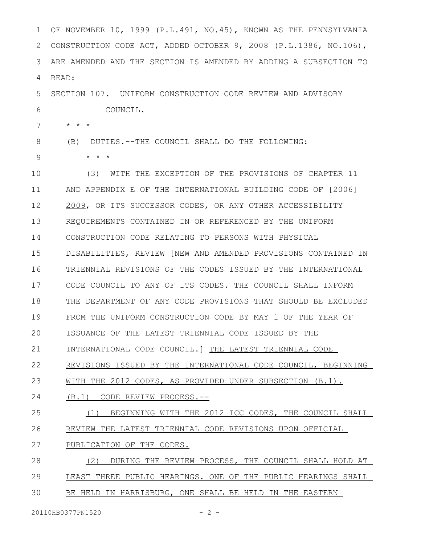| 1  | OF NOVEMBER 10, 1999 (P.L.491, NO.45), KNOWN AS THE PENNSYLVANIA |
|----|------------------------------------------------------------------|
| 2  | CONSTRUCTION CODE ACT, ADDED OCTOBER 9, 2008 (P.L.1386, NO.106), |
| 3  | ARE AMENDED AND THE SECTION IS AMENDED BY ADDING A SUBSECTION TO |
| 4  | READ:                                                            |
| 5  | SECTION 107. UNIFORM CONSTRUCTION CODE REVIEW AND ADVISORY       |
| 6  | COUNCIL.                                                         |
| 7  | $\star$ $\star$ $\star$                                          |
| 8  | DUTIES. --THE COUNCIL SHALL DO THE FOLLOWING:<br>(B)             |
| 9  | $\star$ $\star$ $\star$                                          |
| 10 | WITH THE EXCEPTION OF THE PROVISIONS OF CHAPTER 11<br>(3)        |
| 11 | AND APPENDIX E OF THE INTERNATIONAL BUILDING CODE OF [2006]      |
| 12 | 2009, OR ITS SUCCESSOR CODES, OR ANY OTHER ACCESSIBILITY         |
| 13 | REQUIREMENTS CONTAINED IN OR REFERENCED BY THE UNIFORM           |
| 14 | CONSTRUCTION CODE RELATING TO PERSONS WITH PHYSICAL              |
| 15 | DISABILITIES, REVIEW [NEW AND AMENDED PROVISIONS CONTAINED IN    |
| 16 | TRIENNIAL REVISIONS OF THE CODES ISSUED BY THE INTERNATIONAL     |
| 17 | CODE COUNCIL TO ANY OF ITS CODES. THE COUNCIL SHALL INFORM       |
| 18 | THE DEPARTMENT OF ANY CODE PROVISIONS THAT SHOULD BE EXCLUDED    |
| 19 | FROM THE UNIFORM CONSTRUCTION CODE BY MAY 1 OF THE YEAR OF       |
| 20 | ISSUANCE OF THE LATEST TRIENNIAL CODE ISSUED BY THE              |
| 21 | INTERNATIONAL CODE COUNCIL.   THE LATEST TRIENNIAL CODE          |
| 22 | REVISIONS ISSUED BY THE INTERNATIONAL CODE COUNCIL, BEGINNING    |
| 23 | WITH THE 2012 CODES, AS PROVIDED UNDER SUBSECTION (B.1).         |
| 24 | (B.1) CODE REVIEW PROCESS.--                                     |
| 25 | BEGINNING WITH THE 2012 ICC CODES, THE COUNCIL SHALL<br>(1)      |
| 26 | REVIEW THE LATEST TRIENNIAL CODE REVISIONS UPON OFFICIAL         |
| 27 | PUBLICATION OF THE CODES.                                        |
| 28 | (2)<br>DURING THE REVIEW PROCESS, THE COUNCIL SHALL HOLD AT      |
| 29 | LEAST THREE PUBLIC HEARINGS. ONE OF THE PUBLIC HEARINGS SHALL    |
| 30 | BE HELD IN HARRISBURG, ONE SHALL BE HELD IN THE EASTERN          |

20110HB0377PN1520 - 2 -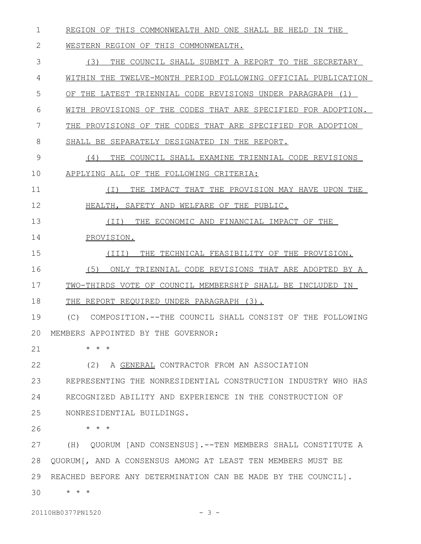REGION OF THIS COMMONWEALTH AND ONE SHALL BE HELD IN THE 1

WESTERN REGION OF THIS COMMONWEALTH. 2

(3) THE COUNCIL SHALL SUBMIT A REPORT TO THE SECRETARY WITHIN THE TWELVE-MONTH PERIOD FOLLOWING OFFICIAL PUBLICATION OF THE LATEST TRIENNIAL CODE REVISIONS UNDER PARAGRAPH (1) WITH PROVISIONS OF THE CODES THAT ARE SPECIFIED FOR ADOPTION. THE PROVISIONS OF THE CODES THAT ARE SPECIFIED FOR ADOPTION SHALL BE SEPARATELY DESIGNATED IN THE REPORT. (4) THE COUNCIL SHALL EXAMINE TRIENNIAL CODE REVISIONS APPLYING ALL OF THE FOLLOWING CRITERIA: (I) THE IMPACT THAT THE PROVISION MAY HAVE UPON THE HEALTH, SAFETY AND WELFARE OF THE PUBLIC. (II) THE ECONOMIC AND FINANCIAL IMPACT OF THE PROVISION. (III) THE TECHNICAL FEASIBILITY OF THE PROVISION. (5) ONLY TRIENNIAL CODE REVISIONS THAT ARE ADOPTED BY A TWO-THIRDS VOTE OF COUNCIL MEMBERSHIP SHALL BE INCLUDED IN THE REPORT REQUIRED UNDER PARAGRAPH (3). (C) COMPOSITION.--THE COUNCIL SHALL CONSIST OF THE FOLLOWING MEMBERS APPOINTED BY THE GOVERNOR: \* \* \* (2) A GENERAL CONTRACTOR FROM AN ASSOCIATION REPRESENTING THE NONRESIDENTIAL CONSTRUCTION INDUSTRY WHO HAS RECOGNIZED ABILITY AND EXPERIENCE IN THE CONSTRUCTION OF NONRESIDENTIAL BUILDINGS. \* \* \* (H) QUORUM [AND CONSENSUS].--TEN MEMBERS SHALL CONSTITUTE A QUORUM[, AND A CONSENSUS AMONG AT LEAST TEN MEMBERS MUST BE REACHED BEFORE ANY DETERMINATION CAN BE MADE BY THE COUNCIL]. \* \* \* 20110HB0377PN1520 - 3 -3 4 5 6 7 8 9 10 11 12 13 14 15 16 17 18 19 20 21 22 23 24 25 26 27 28 29 30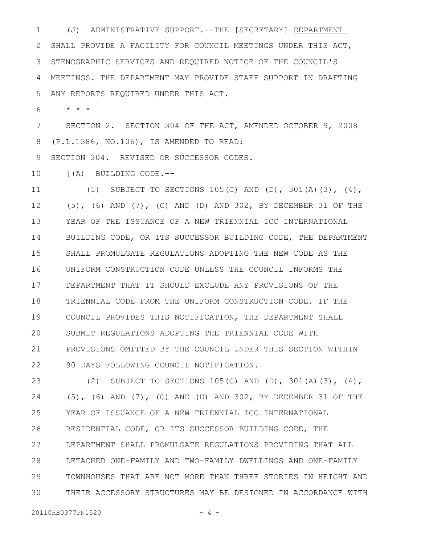(J) ADMINISTRATIVE SUPPORT.--THE [SECRETARY] DEPARTMENT SHALL PROVIDE A FACILITY FOR COUNCIL MEETINGS UNDER THIS ACT, STENOGRAPHIC SERVICES AND REQUIRED NOTICE OF THE COUNCIL'S MEETINGS. THE DEPARTMENT MAY PROVIDE STAFF SUPPORT IN DRAFTING 1 2 3 4

ANY REPORTS REQUIRED UNDER THIS ACT. 5

\* \* \* 6

SECTION 2. SECTION 304 OF THE ACT, AMENDED OCTOBER 9, 2008 (P.L.1386, NO.106), IS AMENDED TO READ: 7 8

SECTION 304. REVISED OR SUCCESSOR CODES. 9

[(A) BUILDING CODE.-- 10

(1) SUBJECT TO SECTIONS  $105(C)$  AND (D),  $301(A)(3)$ , (4), (5), (6) AND (7), (C) AND (D) AND 302, BY DECEMBER 31 OF THE YEAR OF THE ISSUANCE OF A NEW TRIENNIAL ICC INTERNATIONAL BUILDING CODE, OR ITS SUCCESSOR BUILDING CODE, THE DEPARTMENT SHALL PROMULGATE REGULATIONS ADOPTING THE NEW CODE AS THE UNIFORM CONSTRUCTION CODE UNLESS THE COUNCIL INFORMS THE DEPARTMENT THAT IT SHOULD EXCLUDE ANY PROVISIONS OF THE TRIENNIAL CODE FROM THE UNIFORM CONSTRUCTION CODE. IF THE COUNCIL PROVIDES THIS NOTIFICATION, THE DEPARTMENT SHALL SUBMIT REGULATIONS ADOPTING THE TRIENNIAL CODE WITH PROVISIONS OMITTED BY THE COUNCIL UNDER THIS SECTION WITHIN 90 DAYS FOLLOWING COUNCIL NOTIFICATION. 11 12 13 14 15 16 17 18 19 20 21 22

(2) SUBJECT TO SECTIONS 105(C) AND (D), 301(A)(3), (4), (5), (6) AND (7), (C) AND (D) AND 302, BY DECEMBER 31 OF THE YEAR OF ISSUANCE OF A NEW TRIENNIAL ICC INTERNATIONAL RESIDENTIAL CODE, OR ITS SUCCESSOR BUILDING CODE, THE DEPARTMENT SHALL PROMULGATE REGULATIONS PROVIDING THAT ALL DETACHED ONE-FAMILY AND TWO-FAMILY DWELLINGS AND ONE-FAMILY TOWNHOUSES THAT ARE NOT MORE THAN THREE STORIES IN HEIGHT AND THEIR ACCESSORY STRUCTURES MAY BE DESIGNED IN ACCORDANCE WITH 23 24 25 26 27 28 29 30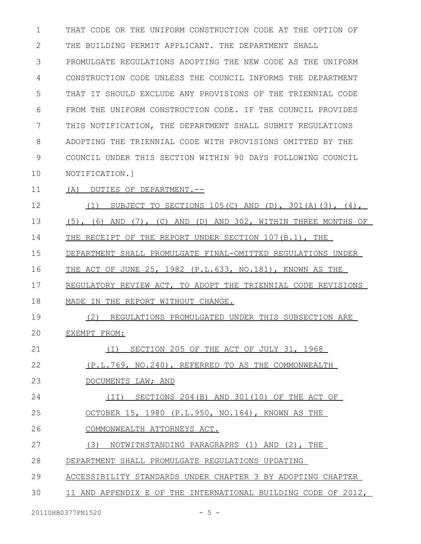THAT CODE OR THE UNIFORM CONSTRUCTION CODE AT THE OPTION OF THE BUILDING PERMIT APPLICANT. THE DEPARTMENT SHALL PROMULGATE REGULATIONS ADOPTING THE NEW CODE AS THE UNIFORM CONSTRUCTION CODE UNLESS THE COUNCIL INFORMS THE DEPARTMENT THAT IT SHOULD EXCLUDE ANY PROVISIONS OF THE TRIENNIAL CODE FROM THE UNIFORM CONSTRUCTION CODE. IF THE COUNCIL PROVIDES THIS NOTIFICATION, THE DEPARTMENT SHALL SUBMIT REGULATIONS ADOPTING THE TRIENNIAL CODE WITH PROVISIONS OMITTED BY THE COUNCIL UNDER THIS SECTION WITHIN 90 DAYS FOLLOWING COUNCIL NOTIFICATION.] 1 2 3 4 5 6 7 8 9 10

(A) DUTIES OF DEPARTMENT.-- 11

(1) SUBJECT TO SECTIONS  $105(C)$  AND (D),  $301(A)(3)$ , (4), (5), (6) AND (7), (C) AND (D) AND 302, WITHIN THREE MONTHS OF THE RECEIPT OF THE REPORT UNDER SECTION 107(B.1), THE DEPARTMENT SHALL PROMULGATE FINAL-OMITTED REGULATIONS UNDER THE ACT OF JUNE 25, 1982 (P.L.633, NO.181), KNOWN AS THE 12 13 14 15 16

 REGULATORY REVIEW ACT, TO ADOPT THE TRIENNIAL CODE REVISIONS MADE IN THE REPORT WITHOUT CHANGE. 17 18

(2) REGULATIONS PROMULGATED UNDER THIS SUBSECTION ARE EXEMPT FROM: 19 20

- (I) SECTION 205 OF THE ACT OF JULY 31, 1968 21
- (P.L.769, NO.240), REFERRED TO AS THE COMMONWEALTH 22

DOCUMENTS LAW; AND 23

(II) SECTIONS 204(B) AND 301(10) OF THE ACT OF 24

OCTOBER 15, 1980 (P.L.950, NO.164), KNOWN AS THE 25

COMMONWEALTH ATTORNEYS ACT. 26

(3) NOTWITHSTANDING PARAGRAPHS (1) AND (2), THE 27

- DEPARTMENT SHALL PROMULGATE REGULATIONS UPDATING 28
- ACCESSIBILITY STANDARDS UNDER CHAPTER 3 BY ADOPTING CHAPTER 29
- 11 AND APPENDIX E OF THE INTERNATIONAL BUILDING CODE OF 2012, 30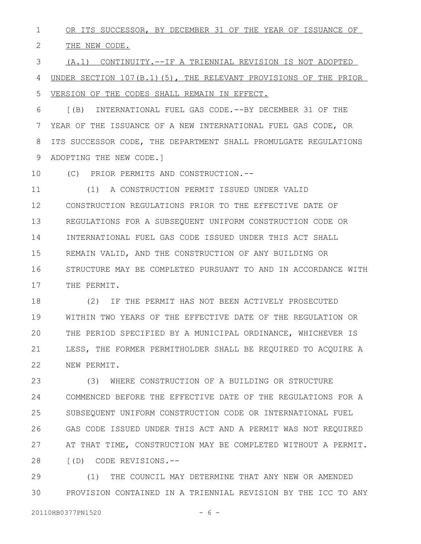OR ITS SUCCESSOR, BY DECEMBER 31 OF THE YEAR OF ISSUANCE OF 1

THE NEW CODE. 2

(A.1) CONTINUITY.--IF A TRIENNIAL REVISION IS NOT ADOPTED UNDER SECTION 107(B.1)(5), THE RELEVANT PROVISIONS OF THE PRIOR VERSION OF THE CODES SHALL REMAIN IN EFFECT. 3 4 5

[(B) INTERNATIONAL FUEL GAS CODE.--BY DECEMBER 31 OF THE YEAR OF THE ISSUANCE OF A NEW INTERNATIONAL FUEL GAS CODE, OR ITS SUCCESSOR CODE, THE DEPARTMENT SHALL PROMULGATE REGULATIONS ADOPTING THE NEW CODE.] 6 7 8 9

(C) PRIOR PERMITS AND CONSTRUCTION.-- 10

(1) A CONSTRUCTION PERMIT ISSUED UNDER VALID CONSTRUCTION REGULATIONS PRIOR TO THE EFFECTIVE DATE OF REGULATIONS FOR A SUBSEQUENT UNIFORM CONSTRUCTION CODE OR INTERNATIONAL FUEL GAS CODE ISSUED UNDER THIS ACT SHALL REMAIN VALID, AND THE CONSTRUCTION OF ANY BUILDING OR STRUCTURE MAY BE COMPLETED PURSUANT TO AND IN ACCORDANCE WITH THE PERMIT. 11 12 13 14 15 16 17

(2) IF THE PERMIT HAS NOT BEEN ACTIVELY PROSECUTED WITHIN TWO YEARS OF THE EFFECTIVE DATE OF THE REGULATION OR THE PERIOD SPECIFIED BY A MUNICIPAL ORDINANCE, WHICHEVER IS LESS, THE FORMER PERMITHOLDER SHALL BE REQUIRED TO ACQUIRE A NEW PERMIT. 18 19 20 21 22

(3) WHERE CONSTRUCTION OF A BUILDING OR STRUCTURE COMMENCED BEFORE THE EFFECTIVE DATE OF THE REGULATIONS FOR A SUBSEQUENT UNIFORM CONSTRUCTION CODE OR INTERNATIONAL FUEL GAS CODE ISSUED UNDER THIS ACT AND A PERMIT WAS NOT REQUIRED AT THAT TIME, CONSTRUCTION MAY BE COMPLETED WITHOUT A PERMIT. [(D) CODE REVISIONS.-- 23 24 25 26 27 28

(1) THE COUNCIL MAY DETERMINE THAT ANY NEW OR AMENDED PROVISION CONTAINED IN A TRIENNIAL REVISION BY THE ICC TO ANY 29 30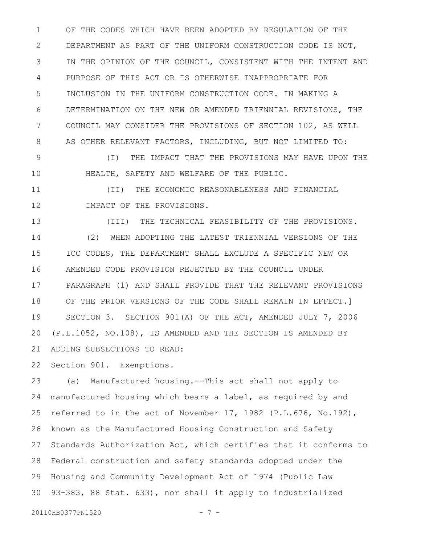OF THE CODES WHICH HAVE BEEN ADOPTED BY REGULATION OF THE DEPARTMENT AS PART OF THE UNIFORM CONSTRUCTION CODE IS NOT, IN THE OPINION OF THE COUNCIL, CONSISTENT WITH THE INTENT AND PURPOSE OF THIS ACT OR IS OTHERWISE INAPPROPRIATE FOR INCLUSION IN THE UNIFORM CONSTRUCTION CODE. IN MAKING A DETERMINATION ON THE NEW OR AMENDED TRIENNIAL REVISIONS, THE COUNCIL MAY CONSIDER THE PROVISIONS OF SECTION 102, AS WELL AS OTHER RELEVANT FACTORS, INCLUDING, BUT NOT LIMITED TO: 1 2 3 4 5 6 7 8

(I) THE IMPACT THAT THE PROVISIONS MAY HAVE UPON THE HEALTH, SAFETY AND WELFARE OF THE PUBLIC. 9 10

(II) THE ECONOMIC REASONABLENESS AND FINANCIAL IMPACT OF THE PROVISIONS. 11 12

(III) THE TECHNICAL FEASIBILITY OF THE PROVISIONS. (2) WHEN ADOPTING THE LATEST TRIENNIAL VERSIONS OF THE ICC CODES, THE DEPARTMENT SHALL EXCLUDE A SPECIFIC NEW OR AMENDED CODE PROVISION REJECTED BY THE COUNCIL UNDER PARAGRAPH (1) AND SHALL PROVIDE THAT THE RELEVANT PROVISIONS OF THE PRIOR VERSIONS OF THE CODE SHALL REMAIN IN EFFECT.] SECTION 3. SECTION 901(A) OF THE ACT, AMENDED JULY 7, 2006 (P.L.1052, NO.108), IS AMENDED AND THE SECTION IS AMENDED BY ADDING SUBSECTIONS TO READ: 13 14 15 16 17 18 19 20 21

Section 901. Exemptions. 22

(a) Manufactured housing.--This act shall not apply to manufactured housing which bears a label, as required by and referred to in the act of November 17, 1982 (P.L.676, No.192), known as the Manufactured Housing Construction and Safety Standards Authorization Act, which certifies that it conforms to Federal construction and safety standards adopted under the Housing and Community Development Act of 1974 (Public Law 93-383, 88 Stat. 633), nor shall it apply to industrialized 23 24 25 26 27 28 29 30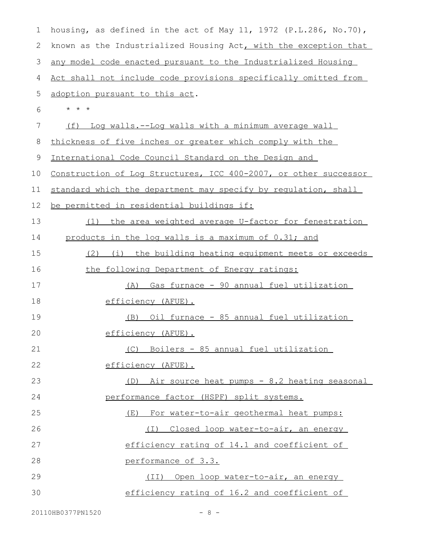| $\mathbf 1$ | housing, as defined in the act of May 11, 1972 (P.L.286, No.70), |
|-------------|------------------------------------------------------------------|
| 2           | known as the Industrialized Housing Act, with the exception that |
| 3           | any model code enacted pursuant to the Industrialized Housing    |
| 4           | Act shall not include code provisions specifically omitted from  |
| 5           | adoption pursuant to this act.                                   |
| 6           | $\star$ $\star$ $\star$                                          |
| 7           | Log walls.--Log walls with a minimum average wall<br>(f)         |
| 8           | thickness of five inches or greater which comply with the        |
| 9           | International Code Council Standard on the Design and            |
| 10          | Construction of Log Structures, ICC 400-2007, or other successor |
| 11          | standard which the department may specify by requlation, shall   |
| 12          | be permitted in residential buildings if:                        |
| 13          | the area weighted average U-factor for fenestration<br>(1)       |
| 14          | products in the log walls is a maximum of 0.31; and              |
| 15          | (2) (i) the building heating equipment meets or exceeds          |
| 16          | the following Department of Energy ratings:                      |
| 17          | (A) Gas furnace - 90 annual fuel utilization                     |
| 18          | efficiency (AFUE).                                               |
| 19          | (B) Oil furnace - 85 annual fuel utilization                     |
| 20          | efficiency (AFUE).                                               |
| 21          | (C) Boilers - 85 annual fuel utilization                         |
| 22          | efficiency (AFUE).                                               |
| 23          | (D) Air source heat pumps - 8.2 heating seasonal                 |
| 24          | performance factor (HSPF) split systems.                         |
| 25          | (E) For water-to-air geothermal heat pumps:                      |
| 26          | (I) Closed loop water-to-air, an energy                          |
| 27          | efficiency rating of 14.1 and coefficient of                     |
| 28          | performance of 3.3.                                              |
| 29          | (II) Open loop water-to-air, an energy                           |
| 30          | efficiency rating of 16.2 and coefficient of                     |
|             |                                                                  |

20110HB0377PN1520 - 8 -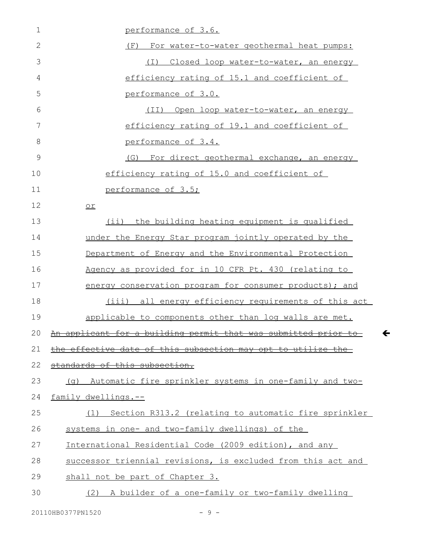| $\mathbf 1$  | performance of 3.6.                                                                                                                 |
|--------------|-------------------------------------------------------------------------------------------------------------------------------------|
| $\mathbf{2}$ | For water-to-water geothermal heat pumps:<br>(F)                                                                                    |
| 3            | (I) Closed loop water-to-water, an energy                                                                                           |
| 4            | efficiency rating of 15.1 and coefficient of                                                                                        |
| 5            | performance of 3.0.                                                                                                                 |
| 6            | (TI)<br>Open loop water-to-water, an energy                                                                                         |
| 7            | efficiency rating of 19.1 and coefficient of                                                                                        |
| 8            | performance of 3.4.                                                                                                                 |
| 9            | (G) For direct geothermal exchange, an energy                                                                                       |
| 10           | efficiency rating of 15.0 and coefficient of                                                                                        |
| 11           | performance of 3.5;                                                                                                                 |
| 12           | $or$                                                                                                                                |
| 13           | (ii) the building heating equipment is qualified                                                                                    |
| 14           | under the Energy Star program jointly operated by the                                                                               |
| 15           | Department of Energy and the Environmental Protection                                                                               |
| 16           | Agency as provided for in 10 CFR Pt. 430 (relating to                                                                               |
| 17           | energy conservation program for consumer products); and                                                                             |
| 18           | (iii) all energy efficiency requirements of this act                                                                                |
| 19           | applicable to components other than log walls are met.                                                                              |
| $20$ An      | and in a sample of a state of the state of the state of the state of the state of the state of the state of th<br><del>permit</del> |
| 21           | the effective date of this subsection may opt to utilize the                                                                        |
| 22           | standards of this subsection.                                                                                                       |
| 23           | Automatic fire sprinkler systems in one-family and two-<br>(a)                                                                      |
| 24           | family dwellings.--                                                                                                                 |
| 25           | Section R313.2 (relating to automatic fire sprinkler<br>(1)                                                                         |
| 26           | systems in one- and two-family dwellings) of the                                                                                    |
| 27           | International Residential Code (2009 edition), and any                                                                              |
| 28           | successor triennial revisions, is excluded from this act and                                                                        |
| 29           | shall not be part of Chapter 3.                                                                                                     |
| 30           | (2) A builder of a one-family or two-family dwelling                                                                                |

 $\leftarrow$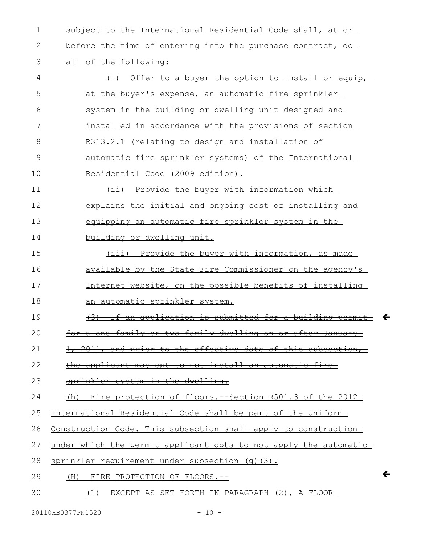| $\mathbf 1$ | subject to the International Residential Code shall, at or                 |
|-------------|----------------------------------------------------------------------------|
| 2           | before the time of entering into the purchase contract, do                 |
| 3           | all of the following:                                                      |
| 4           | Offer to a buyer the option to install or equip,<br>(i)                    |
| 5           | at the buyer's expense, an automatic fire sprinkler                        |
| 6           | system in the building or dwelling unit designed and                       |
| 7           | installed in accordance with the provisions of section                     |
| 8           | R313.2.1 (relating to design and installation of                           |
| $\mathsf 9$ | automatic fire sprinkler systems) of the International                     |
| 10          | Residential Code (2009 edition).                                           |
| 11          | (ii) Provide the buyer with information which                              |
| 12          | explains the initial and ongoing cost of installing and                    |
| 13          | equipping an automatic fire sprinkler system in the                        |
| 14          | building or dwelling unit.                                                 |
| 15          | (iii) Provide the buyer with information, as made                          |
| 16          | available by the State Fire Commissioner on the agency's                   |
| 17          | Internet website, on the possible benefits of installing                   |
| 18          | an automatic sprinkler system.                                             |
| 19          | application is submitted for a<br><del>buildi</del><br>an                  |
| 20          | or two-family dwelling on or after January-<br><del>for a one-family</del> |
| 21          | 1, 2011, and prior to the effective date of this subsection,               |
| 22          | the applicant may opt to not install an automatic fire                     |
| 23          | sprinkler system in the dwelling.                                          |
| 24          | (h) Fire protection of floors. Section R501.3 of the 2012                  |
| 25          | International Residential Code shall be part of the Uniform-               |
| 26          | Construction Code. This subsection shall apply to construction             |
| 27          | under which the permit applicant opts to not apply the automatic           |
| 28          | sprinkler requirement under subsection (q)(3).                             |
| 29          | (H) FIRE PROTECTION OF FLOORS.--                                           |
| 30          | (1) EXCEPT AS SET FORTH IN PARAGRAPH (2), A FLOOR                          |

 $\leftarrow$ 

 $\leftarrow$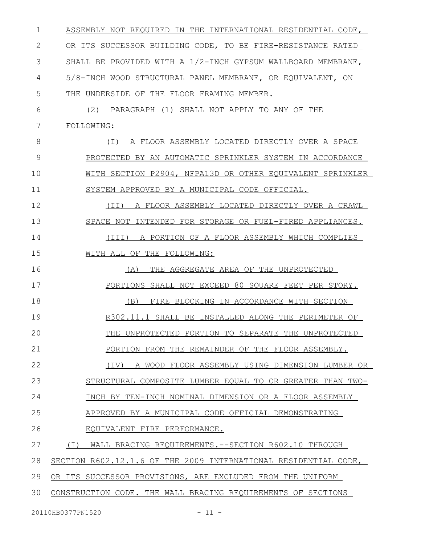ASSEMBLY NOT REQUIRED IN THE INTERNATIONAL RESIDENTIAL CODE, OR ITS SUCCESSOR BUILDING CODE, TO BE FIRE-RESISTANCE RATED SHALL BE PROVIDED WITH A 1/2-INCH GYPSUM WALLBOARD MEMBRANE, 5/8-INCH WOOD STRUCTURAL PANEL MEMBRANE, OR EQUIVALENT, ON THE UNDERSIDE OF THE FLOOR FRAMING MEMBER. (2) PARAGRAPH (1) SHALL NOT APPLY TO ANY OF THE FOLLOWING: (I) A FLOOR ASSEMBLY LOCATED DIRECTLY OVER A SPACE PROTECTED BY AN AUTOMATIC SPRINKLER SYSTEM IN ACCORDANCE WITH SECTION P2904, NFPA13D OR OTHER EQUIVALENT SPRINKLER SYSTEM APPROVED BY A MUNICIPAL CODE OFFICIAL. (II) A FLOOR ASSEMBLY LOCATED DIRECTLY OVER A CRAWL SPACE NOT INTENDED FOR STORAGE OR FUEL-FIRED APPLIANCES. (III) A PORTION OF A FLOOR ASSEMBLY WHICH COMPLIES WITH ALL OF THE FOLLOWING: (A) THE AGGREGATE AREA OF THE UNPROTECTED PORTIONS SHALL NOT EXCEED 80 SQUARE FEET PER STORY. (B) FIRE BLOCKING IN ACCORDANCE WITH SECTION R302.11.1 SHALL BE INSTALLED ALONG THE PERIMETER OF THE UNPROTECTED PORTION TO SEPARATE THE UNPROTECTED PORTION FROM THE REMAINDER OF THE FLOOR ASSEMBLY. (IV) A WOOD FLOOR ASSEMBLY USING DIMENSION LUMBER OR STRUCTURAL COMPOSITE LUMBER EQUAL TO OR GREATER THAN TWO-INCH BY TEN-INCH NOMINAL DIMENSION OR A FLOOR ASSEMBLY APPROVED BY A MUNICIPAL CODE OFFICIAL DEMONSTRATING EQUIVALENT FIRE PERFORMANCE. (I) WALL BRACING REQUIREMENTS.--SECTION R602.10 THROUGH SECTION R602.12.1.6 OF THE 2009 INTERNATIONAL RESIDENTIAL CODE, OR ITS SUCCESSOR PROVISIONS, ARE EXCLUDED FROM THE UNIFORM CONSTRUCTION CODE. THE WALL BRACING REQUIREMENTS OF SECTIONS 1 2 3 4 5 6 7 8 9 10 11 12 13 14 15 16 17 18 19 20 21 22 23 24 25 26 27 28 29 30